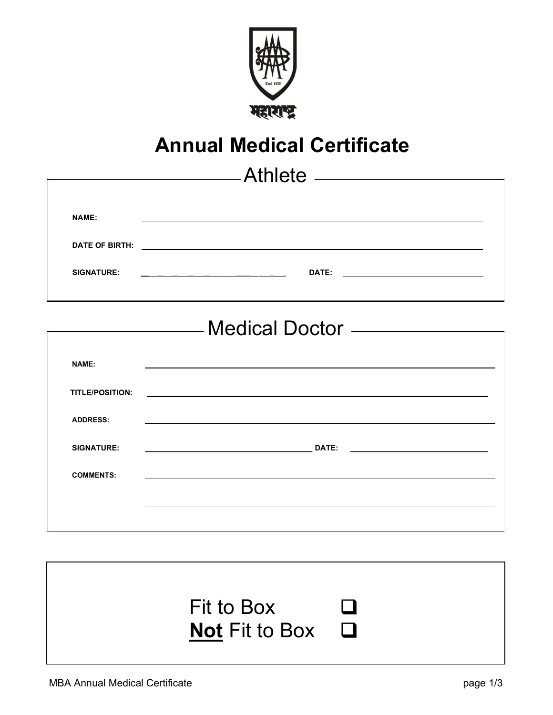

## Annual Medical Certificate

|                                     | Athlete _____________________                                                                                                                                                                                                 |  |  |  |  |  |  |  |
|-------------------------------------|-------------------------------------------------------------------------------------------------------------------------------------------------------------------------------------------------------------------------------|--|--|--|--|--|--|--|
|                                     |                                                                                                                                                                                                                               |  |  |  |  |  |  |  |
| <b>NAME:</b>                        | the control of the control of the control of the control of the control of the control of the control of the control of the control of the control of the control of the control of the control of the control of the control |  |  |  |  |  |  |  |
|                                     |                                                                                                                                                                                                                               |  |  |  |  |  |  |  |
| <b>SIGNATURE:</b>                   |                                                                                                                                                                                                                               |  |  |  |  |  |  |  |
|                                     |                                                                                                                                                                                                                               |  |  |  |  |  |  |  |
| Medical Doctor - The Medical Doctor |                                                                                                                                                                                                                               |  |  |  |  |  |  |  |
|                                     |                                                                                                                                                                                                                               |  |  |  |  |  |  |  |
| <b>NAME:</b>                        |                                                                                                                                                                                                                               |  |  |  |  |  |  |  |
| TITLE/POSITION:                     | <u> 1989 - Johann Harry Harry Harry Harry Harry Harry Harry Harry Harry Harry Harry Harry Harry Harry Harry Harry</u>                                                                                                         |  |  |  |  |  |  |  |
| <b>ADDRESS:</b>                     |                                                                                                                                                                                                                               |  |  |  |  |  |  |  |
| <b>SIGNATURE:</b>                   |                                                                                                                                                                                                                               |  |  |  |  |  |  |  |
| <b>COMMENTS:</b>                    |                                                                                                                                                                                                                               |  |  |  |  |  |  |  |
|                                     |                                                                                                                                                                                                                               |  |  |  |  |  |  |  |
|                                     |                                                                                                                                                                                                                               |  |  |  |  |  |  |  |

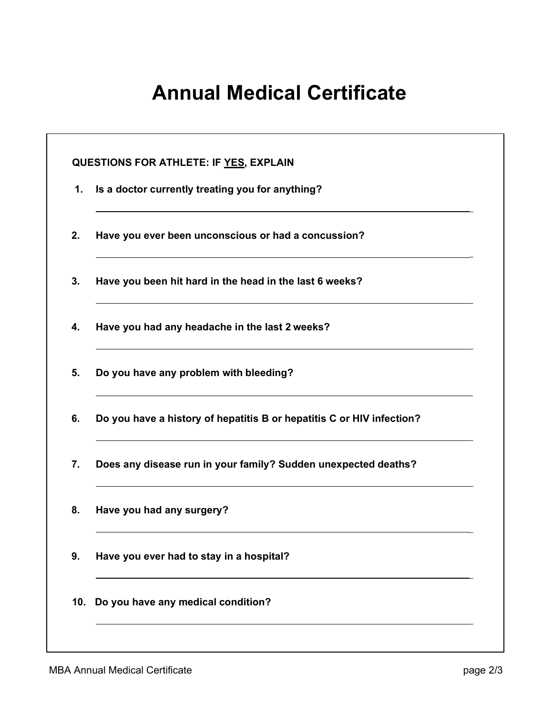## Annual Medical Certificate

| Is a doctor currently treating you for anything?                      |
|-----------------------------------------------------------------------|
| Have you ever been unconscious or had a concussion?                   |
| Have you been hit hard in the head in the last 6 weeks?               |
| Have you had any headache in the last 2 weeks?                        |
| Do you have any problem with bleeding?                                |
| Do you have a history of hepatitis B or hepatitis C or HIV infection? |
| Does any disease run in your family? Sudden unexpected deaths?        |
| Have you had any surgery?                                             |
| Have you ever had to stay in a hospital?                              |
| Do you have any medical condition?                                    |